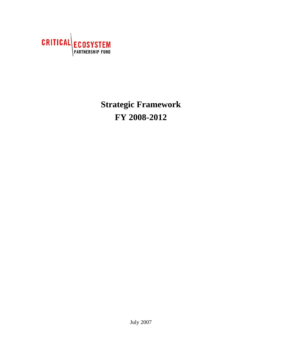

# **Strategic Framework FY 2008-2012**

July 2007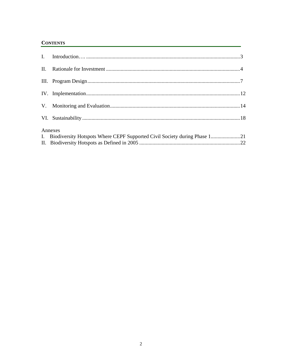#### **CONTENTS**

| Annexes<br>I. Biodiversity Hotspots Where CEPF Supported Civil Society during Phase 121 |  |
|-----------------------------------------------------------------------------------------|--|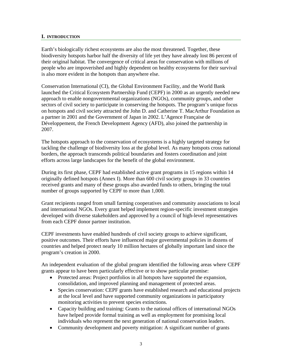#### **I. INTRODUCTION**

Earth's biologically richest ecosystems are also the most threatened. Together, these biodiversity hotspots harbor half the diversity of life yet they have already lost 86 percent of their original habitat. The convergence of critical areas for conservation with millions of people who are impoverished and highly dependent on healthy ecosystems for their survival is also more evident in the hotspots than anywhere else.

Conservation International (CI), the Global Environment Facility, and the World Bank launched the Critical Ecosystem Partnership Fund (CEPF) in 2000 as an urgently needed new approach to enable nongovernmental organizations (NGOs), community groups, and other sectors of civil society to participate in conserving the hotspots. The program's unique focus on hotspots and civil society attracted the John D. and Catherine T. MacArthur Foundation as a partner in 2001 and the Government of Japan in 2002. L'Agence Française de Développement, the French Development Agency (AFD), also joined the partnership in 2007.

The hotspots approach to the conservation of ecosystems is a highly targeted strategy for tackling the challenge of biodiversity loss at the global level. As many hotspots cross national borders, the approach transcends political boundaries and fosters coordination and joint efforts across large landscapes for the benefit of the global environment.

During its first phase, CEPF had established active grant programs in 15 regions within 14 originally defined hotspots (Annex I). More than 600 civil society groups in 33 countries received grants and many of these groups also awarded funds to others, bringing the total number of groups supported by CEPF to more than 1,000.

Grant recipients ranged from small farming cooperatives and community associations to local and international NGOs. Every grant helped implement region-specific investment strategies developed with diverse stakeholders and approved by a council of high-level representatives from each CEPF donor partner institution.

CEPF investments have enabled hundreds of civil society groups to achieve significant, positive outcomes. Their efforts have influenced major governmental policies in dozens of countries and helped protect nearly 10 million hectares of globally important land since the program's creation in 2000.

An independent evaluation of the global program identified the following areas where CEPF grants appear to have been particularly effective or to show particular promise:

- Protected areas: Project portfolios in all hotspots have supported the expansion, consolidation, and improved planning and management of protected areas.
- Species conservation: CEPF grants have established research and educational projects at the local level and have supported community organizations in participatory monitoring activities to prevent species extinctions.
- Capacity building and training: Grants to the national offices of international NGOs have helped provide formal training as well as employment for promising local individuals who represent the next generation of national conservation leaders.
- Community development and poverty mitigation: A significant number of grants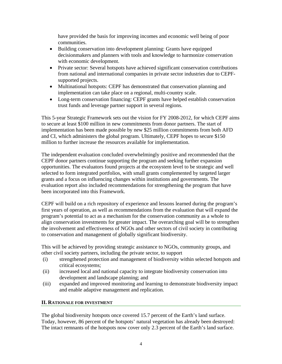have provided the basis for improving incomes and economic well being of poor communities.

- Building conservation into development planning: Grants have equipped decisionmakers and planners with tools and knowledge to harmonize conservation with economic development.
- Private sector: Several hotspots have achieved significant conservation contributions from national and international companies in private sector industries due to CEPFsupported projects.
- Multinational hotspots: CEPF has demonstrated that conservation planning and implementation can take place on a regional, multi-country scale.
- Long-term conservation financing: CEPF grants have helped establish conservation trust funds and leverage partner support in several regions.

This 5-year Strategic Framework sets out the vision for FY 2008-2012, for which CEPF aims to secure at least \$100 million in new commitments from donor partners. The start of implementation has been made possible by new \$25 million commitments from both AFD and CI, which administers the global program. Ultimately, CEPF hopes to secure \$150 million to further increase the resources available for implementation.

The independent evaluation concluded overwhelmingly positive and recommended that the CEPF donor partners continue supporting the program and seeking further expansion opportunities. The evaluators found projects at the ecosystem level to be strategic and well selected to form integrated portfolios, with small grants complemented by targeted larger grants and a focus on influencing changes within institutions and governments. The evaluation report also included recommendations for strengthening the program that have been incorporated into this Framework.

CEPF will build on a rich repository of experience and lessons learned during the program's first years of operation, as well as recommendations from the evaluation that will expand the program's potential to act as a mechanism for the conservation community as a whole to align conservation investments for greater impact. The overarching goal will be to strengthen the involvement and effectiveness of NGOs and other sectors of civil society in contributing to conservation and management of globally significant biodiversity.

This will be achieved by providing strategic assistance to NGOs, community groups, and other civil society partners, including the private sector, to support

- (i) strengthened protection and management of biodiversity within selected hotspots and critical ecosystems;
- (ii) increased local and national capacity to integrate biodiversity conservation into development and landscape planning; and
- (iii) expanded and improved monitoring and learning to demonstrate biodiversity impact and enable adaptive management and replication.

### **II. RATIONALE FOR INVESTMENT**

The global biodiversity hotspots once covered 15.7 percent of the Earth's land surface. Today, however, 86 percent of the hotspots' natural vegetation has already been destroyed: The intact remnants of the hotspots now cover only 2.3 percent of the Earth's land surface.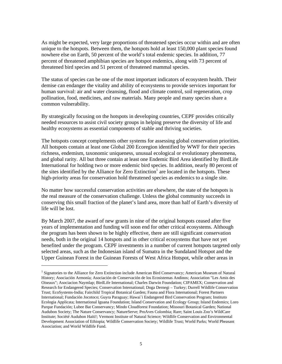As might be expected, very large proportions of threatened species occur within and are often unique to the hotspots. Between them, the hotspots hold at least 150,000 plant species found nowhere else on Earth, 50 percent of the world's total endemic species. In addition, 77 percent of threatened amphibian species are hotspot endemics, along with 73 percent of threatened bird species and 51 percent of threatened mammal species.

The status of species can be one of the most important indicators of ecosystem health. Their demise can endanger the vitality and ability of ecosystems to provide services important for human survival: air and water cleansing, flood and climate control, soil regeneration, crop pollination, food, medicines, and raw materials. Many people and many species share a common vulnerability.

By strategically focusing on the hotspots in developing countries, CEPF provides critically needed resources to assist civil society groups in helping preserve the diversity of life and healthy ecosystems as essential components of stable and thriving societies.

The hotspots concept complements other systems for assessing global conservation priorities. All hotspots contain at least one Global 200 Ecoregion identified by WWF for their species richness, endemism, taxonomic uniqueness, unusual ecological or evolutionary phenomena, and global rarity. All but three contain at least one Endemic Bird Area identified by BirdLife International for holding two or more endemic bird species. In addition, nearly 80 percent of the sites identified by the Alliance for Zero Extinction<sup>1</sup> are located in the hotspots. These high-priority areas for conservation hold threatened species as endemics to a single site.

No matter how successful conservation activities are elsewhere, the state of the hotspots is the real measure of the conservation challenge. Unless the global community succeeds in conserving this small fraction of the planet's land area, more than half of Earth's diversity of life will be lost.

By March 2007, the award of new grants in nine of the original hotspots ceased after five years of implementation and funding will soon end for other critical ecosystems. Although the program has been shown to be highly effective, there are still significant conservation needs, both in the original 14 hotspots and in other critical ecosystems that have not yet benefited under the program. CEPF investments in a number of current hotspots targeted only selected areas, such as the Indonesian island of Sumatra in the Sundaland Hotspot and the Upper Guinean Forest in the Guinean Forests of West Africa Hotspot, while other areas in

 $\overline{a}$ 

<sup>&</sup>lt;sup>1</sup> Signatories to the Alliance for Zero Extinction include American Bird Conservancy; American Museum of Natural History; Asociación Armonía; Asociación de Conservación de los Ecosistemas Andinos; Association "Les Amis des Oiseaux"; Asociacion Naymlap; BirdLife International; Charles Darwin Foundation; CIPAMEX; Conservation and Research for Endangered Species; Conservation International; Doga Dernegi – Turkey; Durrell Wildlife Conservation Trust; EcoSystems-India; Fairchild Tropical Botanical Garden; Fauna and Flora International; Forest Partners International; Fundación Jocotoco; Guyra Paraguay; Hawai`i Endangered Bird Conservation Program; Instituto Ecologia Applicata; International Iguana Foundation; Island Conservation and Ecology Group; Island Endemics; Loro Parque Fundación; Lubee Bat Conservancy; Mindo Cloudforest Foundation; Missouri Botanical Garden; National Audubon Society; The Nature Conservancy; NatureServe; ProAves Colombia; Rare; Saint Louis Zoo's WildCare Institute; Société Audubon Haiti!; Vermont Institute of Natural Science; Wildlife Conservation and Environmental Development Association of Ethiopia; Wildlife Conservation Society; Wildlife Trust; World Parks; World Pheasant Association; and World Wildlife Fund.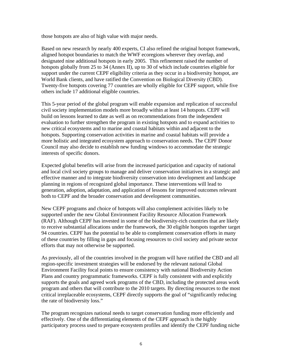those hotspots are also of high value with major needs.

Based on new research by nearly 400 experts, CI also refined the original hotspot framework, aligned hotspot boundaries to match the WWF ecoregions wherever they overlap, and designated nine additional hotspots in early 2005. This refinement raised the number of hotspots globally from 25 to 34 (Annex II), up to 30 of which include countries eligible for support under the current CEPF eligibility criteria as they occur in a biodiversity hotspot, are World Bank clients, and have ratified the Convention on Biological Diversity (CBD). Twenty-five hotspots covering 77 countries are wholly eligible for CEPF support, while five others include 17 additional eligible countries.

This 5-year period of the global program will enable expansion and replication of successful civil society implementation models more broadly within at least 14 hotspots. CEPF will build on lessons learned to date as well as on recommendations from the independent evaluation to further strengthen the program in existing hotspots and to expand activities to new critical ecosystems and to marine and coastal habitats within and adjacent to the hotspots. Supporting conservation activities in marine and coastal habitats will provide a more holistic and integrated ecosystem approach to conservation needs. The CEPF Donor Council may also decide to establish new funding windows to accommodate the strategic interests of specific donors.

Expected global benefits will arise from the increased participation and capacity of national and local civil society groups to manage and deliver conservation initiatives in a strategic and effective manner and to integrate biodiversity conservation into development and landscape planning in regions of recognized global importance. These interventions will lead to generation, adoption, adaptation, and application of lessons for improved outcomes relevant both to CEPF and the broader conservation and development communities.

New CEPF programs and choice of hotspots will also complement activities likely to be supported under the new Global Environment Facility Resource Allocation Framework (RAF). Although CEPF has invested in some of the biodiversity-rich countries that are likely to receive substantial allocations under the framework, the 30 eligible hotspots together target 94 countries. CEPF has the potential to be able to complement conservation efforts in many of these countries by filling in gaps and focusing resources to civil society and private sector efforts that may not otherwise be supported.

As previously, all of the countries involved in the program will have ratified the CBD and all region-specific investment strategies will be endorsed by the relevant national Global Environment Facility focal points to ensure consistency with national Biodiversity Action Plans and country programmatic frameworks. CEPF is fully consistent with and explicitly supports the goals and agreed work programs of the CBD, including the protected areas work program and others that will contribute to the 2010 targets. By directing resources to the most critical irreplaceable ecosystems, CEPF directly supports the goal of "significantly reducing the rate of biodiversity loss."

The program recognizes national needs to target conservation funding more efficiently and effectively. One of the differentiating elements of the CEPF approach is the highly participatory process used to prepare ecosystem profiles and identify the CEPF funding niche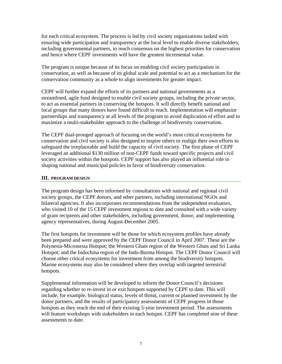for each critical ecosystem. The process is led by civil society organizations tasked with ensuring wide participation and transparency at the local level to enable diverse stakeholders, including governmental partners, to reach consensus on the highest priorities for conservation and hence where CEPF investments will have the greatest incremental value.

The program is unique because of its focus on enabling civil society participation in conservation, as well as because of its global scale and potential to act as a mechanism for the conservation community as a whole to align investments for greater impact.

CEPF will further expand the efforts of its partners and national governments as a streamlined, agile fund designed to enable civil society groups, including the private sector, to act as essential partners in conserving the hotspots. It will directly benefit national and local groups that many donors have found difficult to reach. Implementation will emphasize partnerships and transparency at all levels of the program to avoid duplication of effort and to maximize a multi-stakeholder approach to the challenge of biodiversity conservation.

The CEPF dual-pronged approach of focusing on the world's most critical ecosystems for conservation and civil society is also designed to inspire others to realign their own efforts to safeguard the irreplaceable and build the capacity of civil society. The first phase of CEPF leveraged an additional \$130 million of non-CEPF funds toward specific projects and civil society activities within the hotspots. CEPF support has also played an influential role in shaping national and municipal policies in favor of biodiversity conservation.

#### **III. PROGRAM DESIGN**

The program design has been informed by consultations with national and regional civil society groups, the CEPF donors, and other partners, including international NGOs and bilateral agencies. It also incorporates recommendations from the independent evaluators, who visited 10 of the 15 CEPF investment regions to date and consulted with a wide variety of grant recipients and other stakeholders, including government, donor, and implementing agency representatives, during August-December 2005.

The first hotspots for investment will be those for which ecosystem profiles have already been prepared and were approved by the CEPF Donor Council in April 2007. These are the Polynesia-Micronesia Hotspot; the Western Ghats region of the Western Ghats and Sri Lanka Hotspot; and the Indochina region of the Indo-Burma Hotspot. The CEPF Donor Council will choose other critical ecosystems for investment from among the biodiversity hotspots. Marine ecosystems may also be considered where they overlap with targeted terrestrial hotspots.

Supplemental information will be developed to inform the Donor Council's decisions regarding whether to re-invest in or exit hotspots supported by CEPF to date. This will include, for example, biological status, levels of threat, current or planned investment by the donor partners, and the results of participatory assessments of CEPF progress in those hotspots as they reach the end of their existing 5-year investment period. The assessments will feature workshops with stakeholders in each hotspot. CEPF has completed nine of these assessments to date.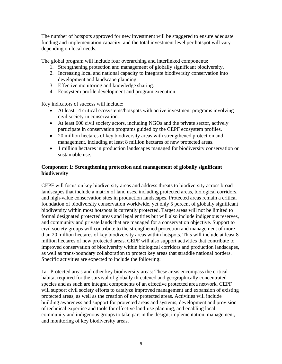The number of hotspots approved for new investment will be staggered to ensure adequate funding and implementation capacity, and the total investment level per hotspot will vary depending on local needs.

The global program will include four overarching and interlinked components:

- 1. Strengthening protection and management of globally significant biodiversity.
- 2. Increasing local and national capacity to integrate biodiversity conservation into development and landscape planning.
- 3. Effective monitoring and knowledge sharing.
- 4. Ecosystem profile development and program execution.

Key indicators of success will include:

- At least 14 critical ecosystems/hotspots with active investment programs involving civil society in conservation.
- At least 600 civil society actors, including NGOs and the private sector, actively participate in conservation programs guided by the CEPF ecosystem profiles.
- 20 million hectares of key biodiversity areas with strengthened protection and management, including at least 8 million hectares of new protected areas.
- 1 million hectares in production landscapes managed for biodiversity conservation or sustainable use.

#### **Component 1: Strengthening protection and management of globally significant biodiversity**

CEPF will focus on key biodiversity areas and address threats to biodiversity across broad landscapes that include a matrix of land uses, including protected areas, biological corridors, and high-value conservation sites in production landscapes. Protected areas remain a critical foundation of biodiversity conservation worldwide, yet only 5 percent of globally significant biodiversity within most hotspots is currently protected. Target areas will not be limited to formal designated protected areas and legal entities but will also include indigenous reserves, and community and private lands that are managed for a conservation objective. Support to civil society groups will contribute to the strengthened protection and management of more than 20 million hectares of key biodiversity areas within hotspots. This will include at least 8 million hectares of new protected areas. CEPF will also support activities that contribute to improved conservation of biodiversity within biological corridors and production landscapes, as well as trans-boundary collaboration to protect key areas that straddle national borders. Specific activities are expected to include the following:

1a. Protected areas and other key biodiversity areas: These areas encompass the critical habitat required for the survival of globally threatened and geographically concentrated species and as such are integral components of an effective protected area network. CEPF will support civil society efforts to catalyze improved management and expansion of existing protected areas, as well as the creation of new protected areas. Activities will include building awareness and support for protected areas and systems, development and provision of technical expertise and tools for effective land-use planning, and enabling local community and indigenous groups to take part in the design, implementation, management, and monitoring of key biodiversity areas.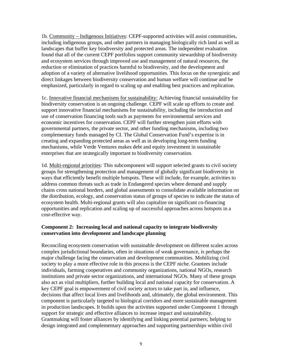1b. Community – Indigenous Initiatives: CEPF-supported activities will assist communities, including indigenous groups, and other partners in managing biologically rich land as well as landscapes that buffer key biodiversity and protected areas. The independent evaluation found that all of the current CEPF portfolios support community stewardship of biodiversity and ecosystem services through improved use and management of natural resources, the reduction or elimination of practices harmful to biodiversity, and the development and adoption of a variety of alternative livelihood opportunities. This focus on the synergistic and direct linkages between biodiversity conservation and human welfare will continue and be emphasized, particularly in regard to scaling up and enabling best practices and replication.

1c. Innovative financial mechanisms for sustainability: Achieving financial sustainability for biodiversity conservation is an ongoing challenge. CEPF will scale up efforts to create and support innovative financial mechanisms for sustainability, including the introduction and use of conservation financing tools such as payments for environmental services and economic incentives for conservation. CEPF will further strengthen joint efforts with governmental partners, the private sector, and other funding mechanisms, including two complementary funds managed by CI. The Global Conservation Fund's expertise is in creating and expanding protected areas as well as in developing long-term funding mechanisms, while Verde Ventures makes debt and equity investment in sustainable enterprises that are strategically important to biodiversity conservation.

1d. Multi-regional priorities: This subcomponent will support selected grants to civil society groups for strengthening protection and management of globally significant biodiversity in ways that efficiently benefit multiple hotspots. These will include, for example, activities to address common threats such as trade in Endangered species where demand and supply chains cross national borders, and global assessments to consolidate available information on the distribution, ecology, and conservation status of groups of species to indicate the status of ecosystem health. Multi-regional grants will also capitalize on significant co-financing opportunities and replication and scaling up of successful approaches across hotspots in a cost-effective way.

#### **Component 2: Increasing local and national capacity to integrate biodiversity conservation into development and landscape planning**

Reconciling ecosystem conservation with sustainable development on different scales across complex jurisdictional boundaries, often in situations of weak governance, is perhaps the major challenge facing the conservation and development communities. Mobilizing civil society to play a more effective role in this process is the CEPF niche. Grantees include individuals, farming cooperatives and community organizations, national NGOs, research institutions and private sector organizations, and international NGOs. Many of these groups also act as vital multipliers, further building local and national capacity for conservation. A key CEPF goal is empowerment of civil society actors to take part in, and influence, decisions that affect local lives and livelihoods and, ultimately, the global environment. This component is particularly targeted to biological corridors and more sustainable management in production landscapes. It builds upon the activities supported under Component 1 through support for strategic and effective alliances to increase impact and sustainability. Grantmaking will foster alliances by identifying and linking potential partners; helping to design integrated and complementary approaches and supporting partnerships within civil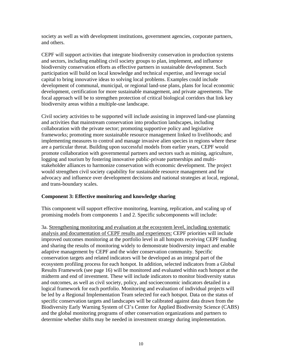society as well as with development institutions, government agencies, corporate partners, and others.

CEPF will support activities that integrate biodiversity conservation in production systems and sectors, including enabling civil society groups to plan, implement, and influence biodiversity conservation efforts as effective partners in sustainable development. Such participation will build on local knowledge and technical expertise, and leverage social capital to bring innovative ideas to solving local problems. Examples could include development of communal, municipal, or regional land-use plans, plans for local economic development, certification for more sustainable management, and private agreements. The focal approach will be to strengthen protection of critical biological corridors that link key biodiversity areas within a multiple-use landscape.

Civil society activities to be supported will include assisting in improved land-use planning and activities that mainstream conservation into production landscapes, including collaboration with the private sector; promoting supportive policy and legislative frameworks; promoting more sustainable resource management linked to livelihoods; and implementing measures to control and manage invasive alien species in regions where these are a particular threat. Building upon successful models from earlier years, CEPF would promote collaboration with governmental partners and sectors such as mining, agriculture, logging and tourism by fostering innovative public-private partnerships and multistakeholder alliances to harmonize conservation with economic development. The project would strengthen civil society capability for sustainable resource management and for advocacy and influence over development decisions and national strategies at local, regional, and trans-boundary scales.

#### **Component 3: Effective monitoring and knowledge sharing**

This component will support effective monitoring, learning, replication, and scaling up of promising models from components 1 and 2. Specific subcomponents will include:

3a. Strengthening monitoring and evaluation at the ecosystem level, including systematic analysis and documentation of CEPF results and experiences: CEPF priorities will include improved outcomes monitoring at the portfolio level in all hotspots receiving CEPF funding and sharing the results of monitoring widely to demonstrate biodiversity impact and enable adaptive management by CEPF and the wider conservation community. Specific conservation targets and related indicators will be developed as an integral part of the ecosystem profiling process for each hotspot. In addition, selected indicators from a Global Results Framework (see page 16) will be monitored and evaluated within each hotspot at the midterm and end of investment. These will include indicators to monitor biodiversity status and outcomes, as well as civil society, policy, and socioeconomic indicators detailed in a logical framework for each portfolio. Monitoring and evaluation of individual projects will be led by a Regional Implementation Team selected for each hotspot. Data on the status of specific conservation targets and landscapes will be calibrated against data drawn from the Biodiversity Early Warning System of CI's Center for Applied Biodiversity Science (CABS) and the global monitoring programs of other conservation organizations and partners to determine whether shifts may be needed in investment strategy during implementation.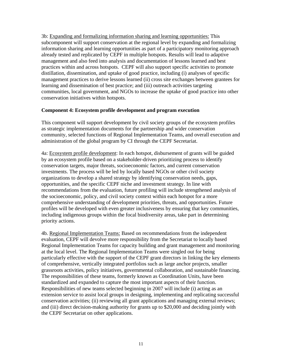3b: Expanding and formalizing information sharing and learning opportunities: This subcomponent will support conservation at the regional level by expanding and formalizing information sharing and learning opportunities as part of a participatory monitoring approach already tested and replicated by CEPF in multiple hotspots. Results will lead to adaptive management and also feed into analysis and documentation of lessons learned and best practices within and across hotspots. CEPF will also support specific activities to promote distillation, dissemination, and uptake of good practice, including (i) analyses of specific management practices to derive lessons learned (ii) cross site exchanges between grantees for learning and dissemination of best practice; and (iii) outreach activities targeting communities, local government, and NGOs to increase the uptake of good practice into other conservation initiatives within hotspots.

#### **Component 4: Ecosystem profile development and program execution**

This component will support development by civil society groups of the ecosystem profiles as strategic implementation documents for the partnership and wider conservation community, selected functions of Regional Implementation Teams, and overall execution and administration of the global program by CI through the CEPF Secretariat.

4a: Ecosystem profile development: In each hotspot, disbursement of grants will be guided by an ecosystem profile based on a stakeholder-driven prioritizing process to identify conservation targets, major threats, socioeconomic factors, and current conservation investments. The process will be led by locally based NGOs or other civil society organizations to develop a shared strategy by identifying conservation needs, gaps, opportunities, and the specific CEPF niche and investment strategy. In line with recommendations from the evaluation, future profiling will include strengthened analysis of the socioeconomic, policy, and civil society context within each hotspot for a more comprehensive understanding of development priorities, threats, and opportunities. Future profiles will be developed with even greater inclusiveness by ensuring that key communities, including indigenous groups within the focal biodiversity areas, take part in determining priority actions.

4b. Regional Implementation Teams: Based on recommendations from the independent evaluation, CEPF will devolve more responsibility from the Secretariat to locally based Regional Implementation Teams for capacity building and grant management and monitoring at the local level. The Regional Implementation Teams were singled out for being particularly effective with the support of the CEPF grant directors in linking the key elements of comprehensive, vertically integrated portfolios such as large anchor projects, smaller grassroots activities, policy initiatives, governmental collaboration, and sustainable financing. The responsibilities of these teams, formerly known as Coordination Units, have been standardized and expanded to capture the most important aspects of their function. Responsibilities of new teams selected beginning in 2007 will include (i) acting as an extension service to assist local groups in designing, implementing and replicating successful conservation activities; (ii) reviewing all grant applications and managing external reviews; and (iii) direct decision-making authority for grants up to \$20,000 and deciding jointly with the CEPF Secretariat on other applications.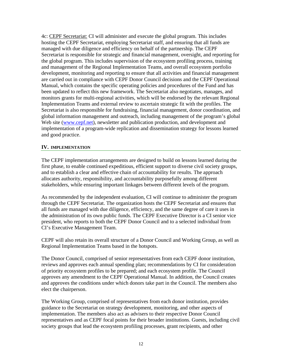4c: CEPF Secretariat: CI will administer and execute the global program. This includes hosting the CEPF Secretariat, employing Secretariat staff, and ensuring that all funds are managed with due diligence and efficiency on behalf of the partnership. The CEPF Secretariat is responsible for strategic and financial management, oversight, and reporting for the global program. This includes supervision of the ecosystem profiling process, training and management of the Regional Implementation Teams, and overall ecosystem portfolio development, monitoring and reporting to ensure that all activities and financial management are carried out in compliance with CEPF Donor Council decisions and the CEPF Operational Manual, which contains the specific operating policies and procedures of the Fund and has been updated to reflect this new framework. The Secretariat also negotiates, manages, and monitors grants for multi-regional activities, which will be endorsed by the relevant Regional Implementation Teams and external review to ascertain strategic fit with the profiles. The Secretariat is also responsible for fundraising, financial management, donor coordination, and global information management and outreach, including management of the program's global Web site (www.cepf.net), newsletter and publication production, and development and implementation of a program-wide replication and dissemination strategy for lessons learned and good practice.

#### **IV. IMPLEMENTATION**

The CEPF implementation arrangements are designed to build on lessons learned during the first phase, to enable continued expeditious, efficient support to diverse civil society groups, and to establish a clear and effective chain of accountability for results. The approach allocates authority, responsibility, and accountability purposefully among different stakeholders, while ensuring important linkages between different levels of the program.

As recommended by the independent evaluation, CI will continue to administer the program through the CEPF Secretariat. The organization hosts the CEPF Secretariat and ensures that all funds are managed with due diligence, efficiency, and the same degree of care it uses in the administration of its own public funds. The CEPF Executive Director is a CI senior vice president, who reports to both the CEPF Donor Council and to a selected individual from CI's Executive Management Team.

CEPF will also retain its overall structure of a Donor Council and Working Group, as well as Regional Implementation Teams based in the hotspots.

The Donor Council, comprised of senior representatives from each CEPF donor institution, reviews and approves each annual spending plan; recommendations by CI for consideration of priority ecosystem profiles to be prepared; and each ecosystem profile. The Council approves any amendment to the CEPF Operational Manual. In addition, the Council creates and approves the conditions under which donors take part in the Council. The members also elect the chairperson.

The Working Group, comprised of representatives from each donor institution, provides guidance to the Secretariat on strategy development, monitoring, and other aspects of implementation. The members also act as advisers to their respective Donor Council representatives and as CEPF focal points for their broader institutions. Guests, including civil society groups that lead the ecosystem profiling processes, grant recipients, and other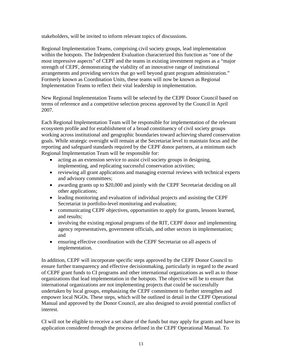stakeholders, will be invited to inform relevant topics of discussions.

Regional Implementation Teams, comprising civil society groups, lead implementation within the hotspots. The Independent Evaluation characterized this function as "one of the most impressive aspects" of CEPF and the teams in existing investment regions as a "major strength of CEPF, demonstrating the viability of an innovative range of institutional arrangements and providing services that go well beyond grant program administration." Formerly known as Coordination Units, these teams will now be known as Regional Implementation Teams to reflect their vital leadership in implementation.

New Regional Implementation Teams will be selected by the CEPF Donor Council based on terms of reference and a competitive selection process approved by the Council in April 2007.

Each Regional Implementation Team will be responsible for implementation of the relevant ecosystem profile and for establishment of a broad constituency of civil society groups working across institutional and geographic boundaries toward achieving shared conservation goals. While strategic oversight will remain at the Secretariat level to maintain focus and the reporting and safeguard standards required by the CEPF donor partners, at a minimum each Regional Implementation Team will be responsible for:

- acting as an extension service to assist civil society groups in designing, implementing, and replicating successful conservation activities;
- reviewing all grant applications and managing external reviews with technical experts and advisory committees;
- awarding grants up to \$20,000 and jointly with the CEPF Secretariat deciding on all other applications;
- leading monitoring and evaluation of individual projects and assisting the CEPF Secretariat in portfolio-level monitoring and evaluation;
- communicating CEPF objectives, opportunities to apply for grants, lessons learned, and results;
- involving the existing regional programs of the RIT, CEPF donor and implementing agency representatives, government officials, and other sectors in implementation; and
- ensuring effective coordination with the CEPF Secretariat on all aspects of implementation.

In addition, CEPF will incorporate specific steps approved by the CEPF Donor Council to ensure further transparency and effective decisionmaking, particularly in regard to the award of CEPF grant funds to CI programs and other international organizations as well as to those organizations that lead implementation in the hotspots. The objective will be to ensure that international organizations are not implementing projects that could be successfully undertaken by local groups, emphasizing the CEPF commitment to further strengthen and empower local NGOs. These steps, which will be outlined in detail in the CEPF Operational Manual and approved by the Donor Council, are also designed to avoid potential conflict of interest.

CI will not be eligible to receive a set share of the funds but may apply for grants and have its application considered through the process defined in the CEPF Operational Manual. To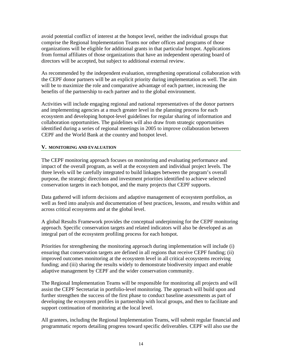avoid potential conflict of interest at the hotspot level, neither the individual groups that comprise the Regional Implementation Teams nor other offices and programs of those organizations will be eligible for additional grants in that particular hotspot. Applications from formal affiliates of those organizations that have an independent operating board of directors will be accepted, but subject to additional external review.

As recommended by the independent evaluation, strengthening operational collaboration with the CEPF donor partners will be an explicit priority during implementation as well. The aim will be to maximize the role and comparative advantage of each partner, increasing the benefits of the partnership to each partner and to the global environment.

Activities will include engaging regional and national representatives of the donor partners and implementing agencies at a much greater level in the planning process for each ecosystem and developing hotspot-level guidelines for regular sharing of information and collaboration opportunities. The guidelines will also draw from strategic opportunities identified during a series of regional meetings in 2005 to improve collaboration between CEPF and the World Bank at the country and hotspot level.

#### **V. MONITORING AND EVALUATION**

The CEPF monitoring approach focuses on monitoring and evaluating performance and impact of the overall program, as well at the ecosystem and individual project levels. The three levels will be carefully integrated to build linkages between the program's overall purpose, the strategic directions and investment priorities identified to achieve selected conservation targets in each hotspot, and the many projects that CEPF supports.

Data gathered will inform decisions and adaptive management of ecosystem portfolios, as well as feed into analysis and documentation of best practices, lessons, and results within and across critical ecosystems and at the global level.

A global Results Framework provides the conceptual underpinning for the CEPF monitoring approach. Specific conservation targets and related indicators will also be developed as an integral part of the ecosystem profiling process for each hotspot.

Priorities for strengthening the monitoring approach during implementation will include (i) ensuring that conservation targets are defined in all regions that receive CEPF funding; (ii) improved outcomes monitoring at the ecosystem level in all critical ecosystems receiving funding; and (iii) sharing the results widely to demonstrate biodiversity impact and enable adaptive management by CEPF and the wider conservation community.

The Regional Implementation Teams will be responsible for monitoring all projects and will assist the CEPF Secretariat in portfolio-level monitoring. The approach will build upon and further strengthen the success of the first phase to conduct baseline assessments as part of developing the ecosystem profiles in partnership with local groups, and then to facilitate and support continuation of monitoring at the local level.

All grantees, including the Regional Implementation Teams, will submit regular financial and programmatic reports detailing progress toward specific deliverables. CEPF will also use the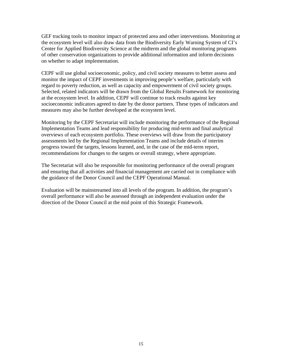GEF tracking tools to monitor impact of protected area and other interventions. Monitoring at the ecosystem level will also draw data from the Biodiversity Early Warning System of CI's Center for Applied Biodiversity Science at the midterm and the global monitoring programs of other conservation organizations to provide additional information and inform decisions on whether to adapt implementation.

CEPF will use global socioeconomic, policy, and civil society measures to better assess and monitor the impact of CEPF investments in improving people's welfare, particularly with regard to poverty reduction, as well as capacity and empowerment of civil society groups. Selected, related indicators will be drawn from the Global Results Framework for monitoring at the ecosystem level. In addition, CEPF will continue to track results against key socioeconomic indicators agreed to date by the donor partners. These types of indicators and measures may also be further developed at the ecosystem level.

Monitoring by the CEPF Secretariat will include monitoring the performance of the Regional Implementation Teams and lead responsibility for producing mid-term and final analytical overviews of each ecosystem portfolio. These overviews will draw from the participatory assessments led by the Regional Implementation Teams and include details of interim progress toward the targets, lessons learned, and, in the case of the mid-term report, recommendations for changes to the targets or overall strategy, where appropriate.

The Secretariat will also be responsible for monitoring performance of the overall program and ensuring that all activities and financial management are carried out in compliance with the guidance of the Donor Council and the CEPF Operational Manual.

Evaluation will be mainstreamed into all levels of the program. In addition, the program's overall performance will also be assessed through an independent evaluation under the direction of the Donor Council at the mid point of this Strategic Framework.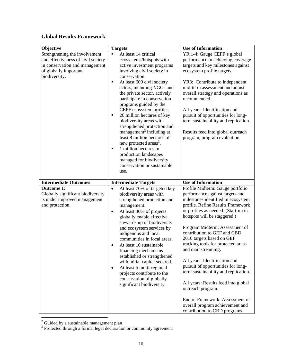## **Global Results Framework**

| Objective                                                                                                                                       | <b>Targets</b>                                                                                                                                                                                                                                                                                                                                                                                                                                                                                                                                                                                                                                                       | <b>Use of Information</b>                                                                                                                                                                                                                                                                                                                                                                                                                                                                                                                                                                     |
|-------------------------------------------------------------------------------------------------------------------------------------------------|----------------------------------------------------------------------------------------------------------------------------------------------------------------------------------------------------------------------------------------------------------------------------------------------------------------------------------------------------------------------------------------------------------------------------------------------------------------------------------------------------------------------------------------------------------------------------------------------------------------------------------------------------------------------|-----------------------------------------------------------------------------------------------------------------------------------------------------------------------------------------------------------------------------------------------------------------------------------------------------------------------------------------------------------------------------------------------------------------------------------------------------------------------------------------------------------------------------------------------------------------------------------------------|
| Strengthening the involvement<br>and effectiveness of civil society<br>in conservation and management<br>of globally important<br>biodiversity. | At least 14 critical<br>$\blacksquare$<br>ecosystems/hotspots with<br>active investment programs<br>involving civil society in<br>conservation.<br>At least 600 civil society<br>٠<br>actors, including NGOs and<br>the private sector, actively<br>participate in conservation<br>programs guided by the<br>CEPF ecosystem profiles.<br>20 million hectares of key<br>biodiversity areas with<br>strengthened protection and<br>management <sup>2</sup> including at<br>least 8 million hectares of<br>new protected areas <sup>3</sup> .<br>1 million hectares in<br>٠<br>production landscapes<br>managed for biodiversity<br>conservation or sustainable<br>use. | YR 1-4: Gauge CEPF's global<br>performance in achieving coverage<br>targets and key milestones against<br>ecosystem profile targets.<br>YR3: Contribute to independent<br>mid-term assessment and adjust<br>overall strategy and operations as<br>recommended.<br>All years: Identification and<br>pursuit of opportunities for long-<br>term sustainability and replication.<br>Results feed into global outreach<br>program, program evaluation.                                                                                                                                            |
| <b>Intermediate Outcomes</b>                                                                                                                    | <b>Intermediate Targets</b>                                                                                                                                                                                                                                                                                                                                                                                                                                                                                                                                                                                                                                          | <b>Use of Information</b>                                                                                                                                                                                                                                                                                                                                                                                                                                                                                                                                                                     |
| <b>Outcome 1:</b><br>Globally significant biodiversity<br>is under improved management<br>and protection.                                       | At least 70% of targeted key<br>$\bullet$<br>biodiversity areas with<br>strengthened protection and<br>management.<br>At least 30% of projects<br>$\bullet$<br>globally enable effective<br>stewardship of biodiversity<br>and ecosystem services by<br>indigenous and local<br>communities in focal areas.<br>At least 10 sustainable<br>financing mechanisms<br>established or strengthened<br>with initial capital secured.<br>At least 5 multi-regional<br>٠<br>projects contribute to the<br>conservation of globally<br>significant biodiversity.                                                                                                              | Profile Midterm: Gauge portfolio<br>performance against targets and<br>milestones identified in ecosystem<br>profile. Refine Results Framework<br>or profiles as needed. (Start-up in<br>hotspots will be staggered.)<br>Program Midterm: Assessment of<br>contribution to GEF and CBD<br>2010 targets based on GEF<br>tracking tools for protected areas<br>and mainstreaming.<br>All years: Identification and<br>pursuit of opportunities for long-<br>term sustainability and replication.<br>All years: Results feed into global<br>outreach program.<br>End of Framework: Assessment of |
|                                                                                                                                                 |                                                                                                                                                                                                                                                                                                                                                                                                                                                                                                                                                                                                                                                                      | overall program achievement and<br>contribution to CBD programs.                                                                                                                                                                                                                                                                                                                                                                                                                                                                                                                              |

<sup>&</sup>lt;sup>2</sup> Guided by a sustainable management plan<br><sup>3</sup> Protected through a formal legal declaration or community agreement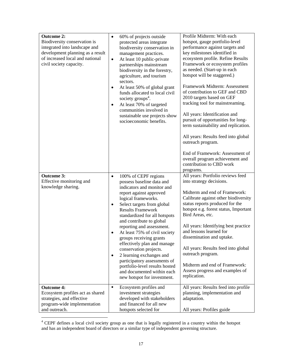| <b>Outcome 2:</b><br>Biodiversity conservation is<br>integrated into landscape and<br>development planning as a result<br>of increased local and national<br>civil society capacity. | 60% of projects outside<br>$\bullet$<br>protected areas integrate<br>biodiversity conservation in<br>management practices.<br>At least 10 public-private<br>$\bullet$<br>partnerships mainstream<br>biodiversity in the forestry,<br>agriculture, and tourism<br>sectors.<br>At least 50% of global grant<br>$\bullet$<br>funds allocated to local civil<br>society groups <sup>4</sup> .<br>At least 70% of targeted<br>$\bullet$<br>communities involved in<br>sustainable use projects show<br>socioeconomic benefits.                                                                                         | Profile Midterm: With each<br>hotspot, gauge portfolio-level<br>performance against targets and<br>key milestones identified in<br>ecosystem profile. Refine Results<br>Framework or ecosystem profiles<br>as needed. (Start-up in each<br>hotspot will be staggered.)<br>Framework Midterm: Assessment<br>of contribution to GEF and CBD<br>2010 targets based on GEF<br>tracking tool for mainstreaming.<br>All years: Identification and<br>pursuit of opportunities for long-<br>term sustainability and replication.<br>All years: Results feed into global<br>outreach program.<br>End of Framework: Assessment of<br>overall program achievement and<br>contribution to CBD work<br>programs. |
|--------------------------------------------------------------------------------------------------------------------------------------------------------------------------------------|-------------------------------------------------------------------------------------------------------------------------------------------------------------------------------------------------------------------------------------------------------------------------------------------------------------------------------------------------------------------------------------------------------------------------------------------------------------------------------------------------------------------------------------------------------------------------------------------------------------------|------------------------------------------------------------------------------------------------------------------------------------------------------------------------------------------------------------------------------------------------------------------------------------------------------------------------------------------------------------------------------------------------------------------------------------------------------------------------------------------------------------------------------------------------------------------------------------------------------------------------------------------------------------------------------------------------------|
| <b>Outcome 3:</b><br>Effective monitoring and<br>knowledge sharing.                                                                                                                  | 100% of CEPF regions<br>$\bullet$<br>possess baseline data and<br>indicators and monitor and<br>report against approved<br>logical frameworks.<br>Select targets from global<br>٠<br><b>Results Framework</b><br>standardized for all hotspots<br>and contribute to global<br>reporting and assessment.<br>At least 75% of civil society<br>$\bullet$<br>groups receiving grants<br>effectively plan and manage<br>conservation projects.<br>2 learning exchanges and<br>$\bullet$<br>participatory assessments of<br>portfolio-level results hosted<br>and documented within each<br>new hotspot for investment. | All years: Portfolio reviews feed<br>into strategy decisions.<br>Midterm and end of Framework:<br>Calibrate against other biodiversity<br>status reports produced for the<br>hotspot e.g. forest status, Important<br>Bird Areas, etc.<br>All years: Identifying best practice<br>and lessons learned for<br>dissemination and uptake.<br>All years: Results feed into global<br>outreach program.<br>Midterm and end of Framework:<br>Assess progress and examples of<br>replication.                                                                                                                                                                                                               |
| <b>Outcome 4:</b><br>Ecosystem profiles act as shared<br>strategies, and effective<br>program-wide implementation<br>and outreach.                                                   | Ecosystem profiles and<br>$\blacksquare$<br>investment strategies<br>developed with stakeholders<br>and financed for all new<br>hotspots selected for                                                                                                                                                                                                                                                                                                                                                                                                                                                             | All years: Results feed into profile<br>planning, implementation and<br>adaptation.<br>All years: Profiles guide                                                                                                                                                                                                                                                                                                                                                                                                                                                                                                                                                                                     |

<sup>&</sup>lt;sup>4</sup> CEPF defines a local civil society group as one that is legally registered in a country within the hotspot and has an independent board of directors or a similar type of independent governing structure.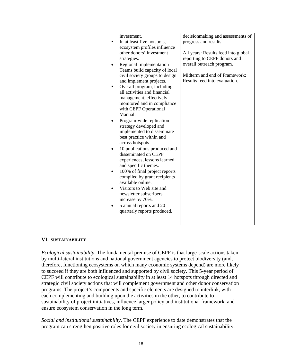|  | investment.<br>In at least five hotspots,<br>$\blacksquare$<br>ecosystem profiles influence<br>other donors' investment<br>strategies.<br>Regional Implementation<br>$\bullet$<br>Teams build capacity of local<br>civil society groups to design<br>and implement projects.<br>Overall program, including<br>٠<br>all activities and financial<br>management, effectively<br>monitored and in compliance<br>with CEPF Operational<br>Manual.<br>Program-wide replication<br>strategy developed and<br>implemented to disseminate<br>best practice within and<br>across hotspots.<br>10 publications produced and<br>$\bullet$<br>disseminated on CEPF<br>experiences, lessons learned,<br>and specific themes.<br>100% of final project reports<br>$\bullet$<br>compiled by grant recipients<br>available online.<br>Visitors to Web site and<br>$\bullet$<br>newsletter subscribers<br>increase by 70%.<br>5 annual reports and 20<br>٠<br>quarterly reports produced. | decisionmaking and assessments of<br>progress and results.<br>All years: Results feed into global<br>reporting to CEPF donors and<br>overall outreach program.<br>Midterm and end of Framework:<br>Results feed into evaluation. |
|--|--------------------------------------------------------------------------------------------------------------------------------------------------------------------------------------------------------------------------------------------------------------------------------------------------------------------------------------------------------------------------------------------------------------------------------------------------------------------------------------------------------------------------------------------------------------------------------------------------------------------------------------------------------------------------------------------------------------------------------------------------------------------------------------------------------------------------------------------------------------------------------------------------------------------------------------------------------------------------|----------------------------------------------------------------------------------------------------------------------------------------------------------------------------------------------------------------------------------|
|--|--------------------------------------------------------------------------------------------------------------------------------------------------------------------------------------------------------------------------------------------------------------------------------------------------------------------------------------------------------------------------------------------------------------------------------------------------------------------------------------------------------------------------------------------------------------------------------------------------------------------------------------------------------------------------------------------------------------------------------------------------------------------------------------------------------------------------------------------------------------------------------------------------------------------------------------------------------------------------|----------------------------------------------------------------------------------------------------------------------------------------------------------------------------------------------------------------------------------|

#### **VI. SUSTAINABILITY**

*Ecological sustainability*. The fundamental premise of CEPF is that large-scale actions taken by multi-lateral institutions and national government agencies to protect biodiversity (and, therefore, functioning ecosystems on which many economic systems depend) are more likely to succeed if they are both influenced and supported by civil society. This 5-year period of CEPF will contribute to ecological sustainability in at least 14 hotspots through directed and strategic civil society actions that will complement government and other donor conservation programs. The project's components and specific elements are designed to interlink, with each complementing and building upon the activities in the other, to contribute to sustainability of project initiatives, influence larger policy and institutional framework, and ensure ecosystem conservation in the long term.

*Social and institutional sustainability*. The CEPF experience to date demonstrates that the program can strengthen positive roles for civil society in ensuring ecological sustainability,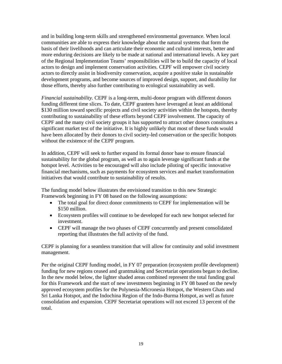and in building long-term skills and strengthened environmental governance. When local communities are able to express their knowledge about the natural systems that form the basis of their livelihoods and can articulate their economic and cultural interests, better and more enduring decisions are likely to be made at national and international levels. A key part of the Regional Implementation Teams' responsibilities will be to build the capacity of local actors to design and implement conservation activities. CEPF will empower civil society actors to directly assist in biodiversity conservation, acquire a positive stake in sustainable development programs, and become sources of improved design, support, and durability for those efforts, thereby also further contributing to ecological sustainability as well.

*Financial sustainability.* CEPF is a long-term, multi-donor program with different donors funding different time slices. To date, CEPF grantees have leveraged at least an additional \$130 million toward specific projects and civil society activities within the hotspots, thereby contributing to sustainability of these efforts beyond CEPF involvement. The capacity of CEPF and the many civil society groups it has supported to attract other donors constitutes a significant market test of the initiative. It is highly unlikely that most of these funds would have been allocated by their donors to civil society-led conservation or the specific hotspots without the existence of the CEPF program.

In addition, CEPF will seek to further expand its formal donor base to ensure financial sustainability for the global program, as well as to again leverage significant funds at the hotspot level. Activities to be encouraged will also include piloting of specific innovative financial mechanisms, such as payments for ecosystem services and market transformation initiatives that would contribute to sustainability of results.

The funding model below illustrates the envisioned transition to this new Strategic Framework beginning in FY 08 based on the following assumptions:

- The total goal for direct donor commitments to CEPF for implementation will be \$150 million.
- Ecosystem profiles will continue to be developed for each new hotspot selected for investment.
- CEPF will manage the two phases of CEPF concurrently and present consolidated reporting that illustrates the full activity of the fund.

CEPF is planning for a seamless transition that will allow for continuity and solid investment management.

Per the original CEPF funding model, in FY 07 preparation (ecosystem profile development) funding for new regions ceased and grantmaking and Secretariat operations began to decline. In the new model below, the lighter shaded areas combined represent the total funding goal for this Framework and the start of new investments beginning in FY 08 based on the newly approved ecosystem profiles for the Polynesia-Micronesia Hotspot, the Western Ghats and Sri Lanka Hotspot, and the Indochina Region of the Indo-Burma Hotspot, as well as future consolidation and expansion. CEPF Secretariat operations will not exceed 13 percent of the total.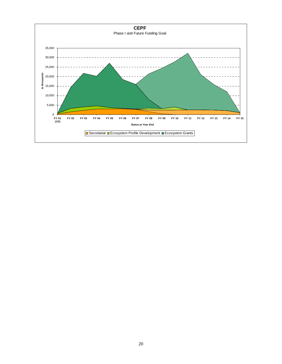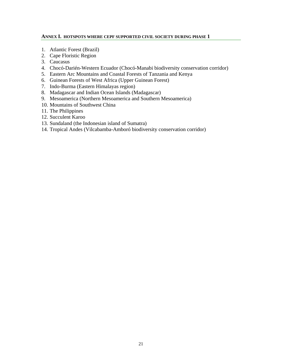#### **ANNEX I. HOTSPOTS WHERE CEPF SUPPORTED CIVIL SOCIETY DURING PHASE 1**

- 1. Atlantic Forest (Brazil)
- 2. Cape Floristic Region
- 3. Caucasus
- 4. Chocó-Darién-Western Ecuador (Chocó-Manabi biodiversity conservation corridor)
- 5. Eastern Arc Mountains and Coastal Forests of Tanzania and Kenya
- 6. Guinean Forests of West Africa (Upper Guinean Forest)
- 7. Indo-Burma (Eastern Himalayas region)
- 8. Madagascar and Indian Ocean Islands (Madagascar)
- 9. Mesoamerica (Northern Mesoamerica and Southern Mesoamerica)
- 10. Mountains of Southwest China
- 11. The Philippines
- 12. Succulent Karoo
- 13. Sundaland (the Indonesian island of Sumatra)
- 14. Tropical Andes (Vilcabamba-Amboró biodiversity conservation corridor)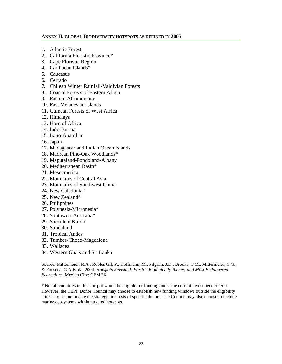#### **ANNEX II. GLOBAL BIODIVERSITY HOTSPOTS AS DEFINED IN 2005**

- 1. Atlantic Forest
- 2. California Floristic Province\*
- 3. Cape Floristic Region
- 4. Caribbean Islands\*
- 5. Caucasus
- 6. Cerrado
- 7. Chilean Winter Rainfall-Valdivian Forests
- 8. Coastal Forests of Eastern Africa
- 9. Eastern Afromontane
- 10. East Melanesian Islands
- 11. Guinean Forests of West Africa
- 12. Himalaya
- 13. Horn of Africa
- 14. Indo-Burma
- 15. Irano-Anatolian
- 16. Japan\*
- 17. Madagascar and Indian Ocean Islands
- 18. Madrean Pine-Oak Woodlands\*
- 19. Maputaland-Pondoland-Albany
- 20. Mediterranean Basin\*
- 21. Mesoamerica
- 22. Mountains of Central Asia
- 23. Mountains of Southwest China
- 24. New Caledonia\*
- 25. New Zealand\*
- 26. Philippines
- 27. Polynesia-Micronesia\*
- 28. Southwest Australia\*
- 29. Succulent Karoo
- 30. Sundaland
- 31. Tropical Andes
- 32. Tumbes-Chocó-Magdalena
- 33. Wallacea
- 34. Western Ghats and Sri Lanka

Source: Mittermeier, R.A., Robles Gil, P., Hoffmann, M., Pilgrim, J.D., Brooks, T.M., Mittermeier, C.G., & Fonseca, G.A.B. da. 2004. *Hotspots Revisited: Earth's Biologically Richest and Most Endangered Ecoregions.* Mexico City: CEMEX.

\* Not all countries in this hotspot would be eligible for funding under the current investment criteria. However, the CEPF Donor Council may choose to establish new funding windows outside the eligibility criteria to accommodate the strategic interests of specific donors. The Council may also choose to include marine ecosystems within targeted hotspots.